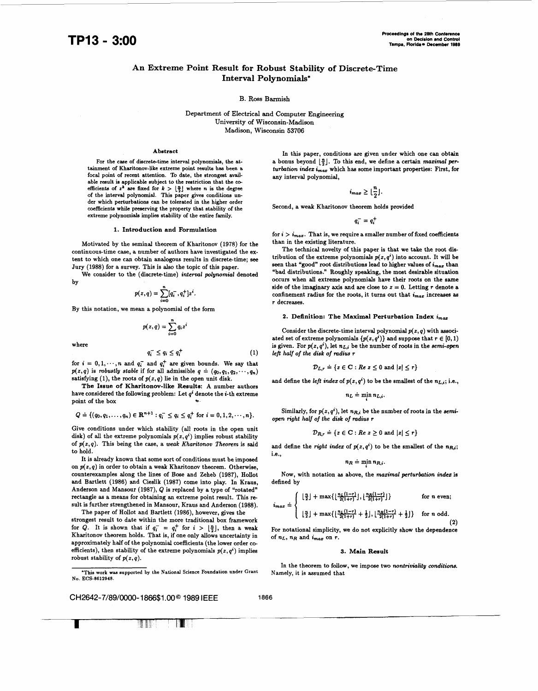# **An Extreme Point Result for Robust Stability of Discrete-Time Interval Polynomials\***

# **B.** Ross Barmish

Department **of** Electrical and Computer Engineering University **of** Wisconsin-Madison Madison, Wisconsin **53706** 

# **Abstract**

For the case of discrete-time interval polynomials, the attainment of Kharitonov-like extreme point results has been a focal point of recent attention. To date, the strongest available result is applicable subject to the restriction that the COefficients of  $z^k$  are fixed for  $k > \lfloor \frac{n}{2} \rfloor$  where *n* is the degree of the interval polynomial. This paper gives conditions under which perturbations can be tolerated in the higher order coefficients while preserving the property that stability of the extreme polynomials implies stability of the entire family.

# **1.** Introduction and Formulation

Motivated by the seminal theorem of Kharitonov **(1978)** for the continuous-time case, a number of authors have investigated the extent to which one can obtain analogous results in discrete-time; **see**  Jury **(1988)** for a survey. This is also the topic of this paper.

We consider to the (discrete-time) *interval polynomial* denoted by **n** 

$$
p(z,q) = \sum_{i=0}^{n} [q_i^{-}, q_i^{+}] z^{i}.
$$

By this notation, we mean a polynomial of the form

$$
p(z,q)=\sum_{i=0}^n q_i z^i
$$

where

$$
q_i^- \le q_i \le q_i^+ \tag{1}
$$

for  $i = 0, 1, \dots, n$  and  $q_i^-$  and  $q_i^+$  are given bounds. We say that  $p(z,q)$  is *robustly stable* if for all admissible  $q \doteq (q_0,q_1,q_2,\cdots,q_n)$ satisfying  $(1)$ , the roots of  $p(z, q)$  lie in the open unit disk.

The Issue **of** Kharitonov-like Results: A number authors have considered the following problem: Let *qi* denote the i-th extreme point of the box

$$
Q = \{(q_0, q_1, \ldots, q_n) \in \mathbf{R}^{n+1} : q_i^- \leq q_i \leq q_i^+ \text{ for } i = 0, 1, 2, \cdots, n\}.
$$

Give conditions under which stability (all roots in the open unit disk) of **all** the extreme polynomials *p(z,q')* implies robust stability of *p(z,q).* This being the case, a *weak Kharitonov Theorem* is said to hold.

It is already known that some sort of conditions must be imposed on *p(z,q)* in order to obtain a weak Kharitonov theorem. Otherwise, counterexamples along the lines of Bose and Zeheb **(1987),** Hollot and Baxtlett **(1986)** and Cieslik **(1987)** come into play. In Kraus, Anderson and Mansour **(1987),** Q is replaced by a type of "rotated" rectangle **as** a means for obtaining an extreme point result. This result is further strengthened in Mansour, Kraus and Anderson **(1988).** 

The paper of Hollot and Bartlett **(1986),** however, gives the strongest result to date within the more traditional box framework for  $\widetilde{Q}$ . It is shown that if  $q_i^- = q_i^+$  for  $i > \lfloor \frac{n}{2} \rfloor$ , then a weak Kharitonov theorem holds. That is, if one only allows uncertainty in approximately half of the polynomial coefficients (the lower order **co**efficients), then stability of the extreme polynomials  $p(z, q<sup>i</sup>)$  implies robust stability of *p(z,q).* 

CH2642-7/89/0000-1866\$1.00<sup>©</sup> 1989 IEEE 1866 **I** 

In this paper, conditions are given under which one can obtain a bonus beyond  $\lfloor \frac{n}{2} \rfloor$ . To this end, we define a certain *maximal per*turbation index  $\overline{i_{max}}$  which has some important properties: First, for any interval polynomial,

$$
i_{max} \geq \lfloor \frac{n}{2} \rfloor.
$$

Second, a weak Kharitonov theorem holds provided

 $q_i^- = q_i^+$ 

for  $i > i_{max}$ . That is, we require a smaller number of fixed coefficients than in the existing literature.

The technical novelty of this paper is that we take the root distribution of the extreme polynomials  $p(z, q<sup>i</sup>)$  into account. It will be seen that "good" root distributions lead to higher values of **imaz** than "bad distributions." Roughly speaking, the most desirable situation occurs when all extreme polynomials have their roots on the sane side of the imaginary axis and are close to  $z = 0$ . Letting  $r$  denote a confinement radius for the roots, it turns out that  $i_{max}$  increases as *r* decreases.

# 2. Definition: The Maximal Perturbation Index  $i_{max}$

Consider the discrete-time interval polynomial  $p(z, q)$  with associated set of extreme polynomials  $\{p(z, q^i)\}\$  and suppose that  $r \in [0, 1)$ is given. For  $p(z, q^i)$ , let  $n_{Li}$  be the number of roots in the *semi-open left half of the disk of mdius r* 

$$
\mathcal{D}_{L,r} \doteq \{ z \in \mathbf{C} : Re \ z \leq 0 \text{ and } |z| \leq r \}
$$

and define the *left index* of  $p(z, q<sup>i</sup>)$  to be the smallest of the  $n_{L,i}$ ; i.e.,

$$
n_L = \min_i n_{L,i}.
$$

Similarly, for  $p(z, q^i)$ , let  $n_{R,i}$  be the number of roots in the *semiopen right half of the disk of mdius* **r** 

$$
\mathcal{D}_{R,r} \doteq \{ z \in \mathbf{C} : Re \ z \ge 0 \text{ and } |z| \le r \}
$$

and define the *right index* of  $p(z, q<sup>i</sup>)$  to be the smallest of the  $n_{R,i}$ ; I.e.,

$$
n_R \doteq \min_i n_{R,i}.
$$

Now, with notation **as** above, the *maximal perturbation indez* is defined by

defined by  
\n
$$
i_{max} = \begin{cases}\n\left\lfloor \frac{n}{2} \right\rfloor + \max\{\left\lfloor \frac{n_L(1-r)}{2(1+r)} \right\rfloor, \left\lfloor \frac{n_R(1-r)}{2(1+r)} \right\rfloor\} & \text{for } n \text{ even}; \\
\left\lfloor \frac{n}{2} \right\rfloor + \max\{\left\lfloor \frac{n_L(1-r)}{2(1+r)} + \frac{1}{2} \right\rfloor, \left\lfloor \frac{n_R(1-r)}{2(1+r)} + \frac{1}{2} \right\rfloor\} & \text{for } n \text{ odd}. \\
\text{For notational simplicity, we do not explicitly show the dependence}\n\end{cases}
$$

of  $n_L$ ,  $n_R$  and  $i_{max}$  on  $r$ .

#### **3.** Main Result

In the theorem to follow, we impose two *nontriviality conditions.*  Namely, it is assumed that



<sup>\*</sup>This work was supported by the National Science Foundation under Grant **No. ECS-8612948.**